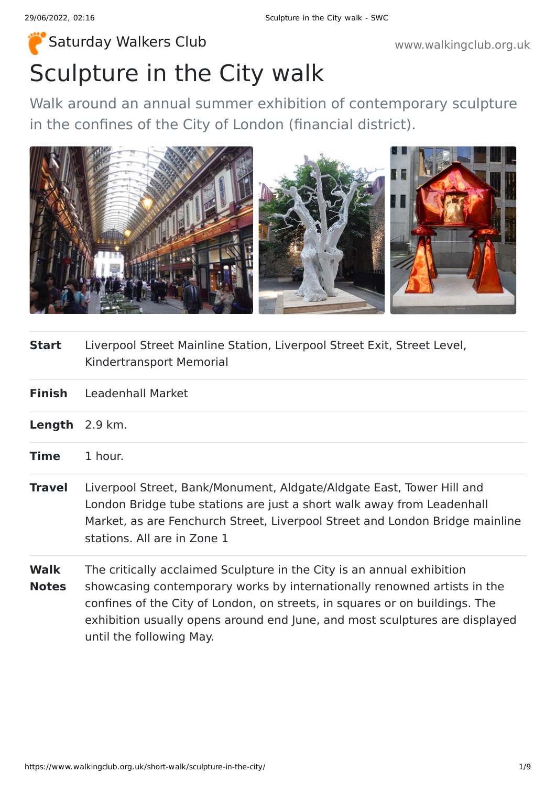## Sculpture in the City walk [Saturday Walkers Club](https://www.walkingclub.org.uk/) **Walkers Club www.walkingclub.org.uk**

Walk around an annual summer exhibition of contemporary sculpture in the confines of the City of London (financial district).



| Start | Liverpool Street Mainline Station, Liverpool Street Exit, Street Level, |
|-------|-------------------------------------------------------------------------|
|       | Kindertransport Memorial                                                |

| <b>Finish</b><br><b>Leadenhall Market</b> |
|-------------------------------------------|
|-------------------------------------------|

- **Time** 1 hour.
- **Travel** Liverpool Street, Bank/Monument, Aldgate/Aldgate East, Tower Hill and London Bridge tube stations are just a short walk away from Leadenhall Market, as are Fenchurch Street, Liverpool Street and London Bridge mainline stations. All are in Zone 1
- **Walk Notes** The critically acclaimed Sculpture in the City is an annual exhibition showcasing contemporary works by internationally renowned artists in the confines of the City of London, on streets, in squares or on buildings. The exhibition usually opens around end June, and most sculptures are displayed until the following May.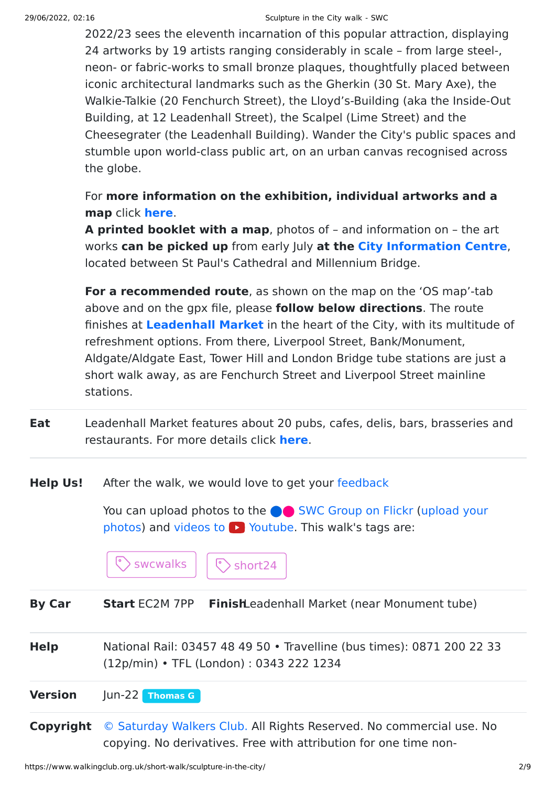2022/23 sees the eleventh incarnation of this popular attraction, displaying 24 artworks by 19 artists ranging considerably in scale – from large steel-, neon- or fabric-works to small bronze plaques, thoughtfully placed between iconic architectural landmarks such as the Gherkin (30 St. Mary Axe), the Walkie-Talkie (20 Fenchurch Street), the Lloyd's-Building (aka the Inside-Out Building, at 12 Leadenhall Street), the Scalpel (Lime Street) and the Cheesegrater (the Leadenhall Building). Wander the City's public spaces and stumble upon world-class public art, on an urban canvas recognised across the globe.

For **more information on the exhibition, individual artworks and a map** click **[here](https://www.sculptureinthecity.org.uk/)**.

**A printed booklet with a map**, photos of – and information on – the art works **can be picked up** from early July **at the [City Information Centre](https://www.cityoflondon.gov.uk/things-to-do/city-information-centre)**, located between St Paul's Cathedral and Millennium Bridge.

**For a recommended route**, as shown on the map on the 'OS map'-tab above and on the gpx file, please **follow below directions**. The route finishes at **[Leadenhall Market](https://en.wikipedia.org/wiki/Leadenhall_Market)** in the heart of the City, with its multitude of refreshment options. From there, Liverpool Street, Bank/Monument, Aldgate/Aldgate East, Tower Hill and London Bridge tube stations are just a short walk away, as are Fenchurch Street and Liverpool Street mainline stations.

- **Eat** Leadenhall Market features about 20 pubs, cafes, delis, bars, brasseries and restaurants. For more details click **[here](https://leadenhallmarket.co.uk/)**.
- **Help Us!** After the walk, we would love to get your [feedback](https://www.walkingclub.org.uk/short-walk/sculpture-in-the-city/comments.html)

You can upload photos to the **integrat C** [SWC Group on Flickr](http://www.flickr.com/groups/swc) (upload your photos) and videos to  $\triangleright$  Youtube. This walk's tags are:



**By Car Start** EC2M 7PP **Finish**Leadenhall Market (near Monument tube)

- **Help** National Rail: 03457 48 49 50 Travelline (bus times): 0871 200 22 33 (12p/min) • TFL (London) : 0343 222 1234
- **Version** Jun-22 **[Thomas G](https://www.walkingclub.org.uk/walks/thomas-g.html)**
- **Copyright** [© Saturday Walkers Club.](https://www.walkingclub.org.uk/site/license.shtml) All Rights Reserved. No commercial use. No copying. No derivatives. Free with attribution for one time non-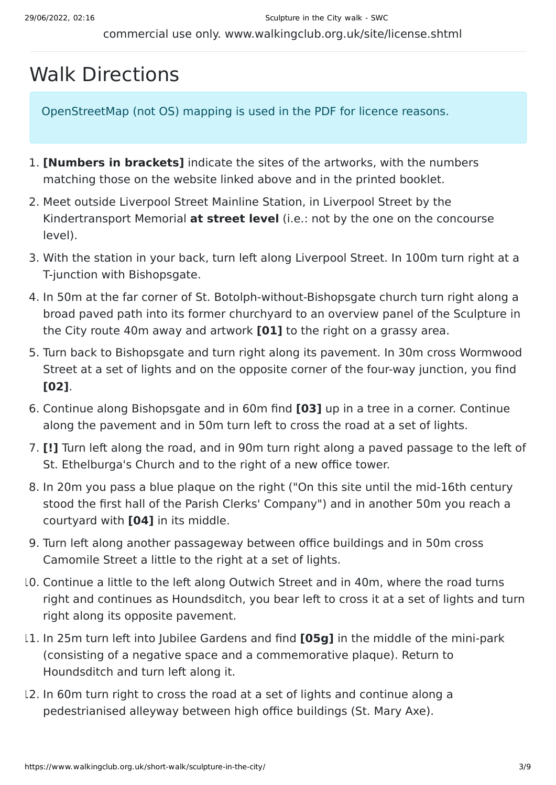## Walk Directions

OpenStreetMap (not OS) mapping is used in the PDF for licence reasons.

- 1. **[Numbers in brackets]** indicate the sites of the artworks, with the numbers matching those on the website linked above and in the printed booklet.
- 2. Meet outside Liverpool Street Mainline Station, in Liverpool Street by the Kindertransport Memorial **at street level** (i.e.: not by the one on the concourse level).
- 3. With the station in your back, turn left along Liverpool Street. In 100m turn right at a T-junction with Bishopsgate.
- 4. In 50m at the far corner of St. Botolph-without-Bishopsgate church turn right along a broad paved path into its former churchyard to an overview panel of the Sculpture in the City route 40m away and artwork **[01]** to the right on a grassy area.
- 5. Turn back to Bishopsgate and turn right along its pavement. In 30m cross Wormwood Street at a set of lights and on the opposite corner of the four-way junction, you find **[02]**.
- 6. Continue along Bishopsgate and in 60m find **[03]** up in a tree in a corner. Continue along the pavement and in 50m turn left to cross the road at a set of lights.
- 7. **[!]** Turn left along the road, and in 90m turn right along a paved passage to the left of St. Ethelburga's Church and to the right of a new office tower.
- 8. In 20m you pass a blue plaque on the right ("On this site until the mid-16th century stood the first hall of the Parish Clerks' Company") and in another 50m you reach a courtyard with **[04]** in its middle.
- 9. Turn left along another passageway between office buildings and in 50m cross Camomile Street a little to the right at a set of lights.
- 10. Continue a little to the left along Outwich Street and in 40m, where the road turns right and continues as Houndsditch, you bear left to cross it at a set of lights and turn right along its opposite pavement.
- 11. In 25m turn left into Jubilee Gardens and find **[05g]** in the middle of the mini-park (consisting of a negative space and a commemorative plaque). Return to Houndsditch and turn left along it.
- 12. In 60m turn right to cross the road at a set of lights and continue along a pedestrianised alleyway between high office buildings (St. Mary Axe).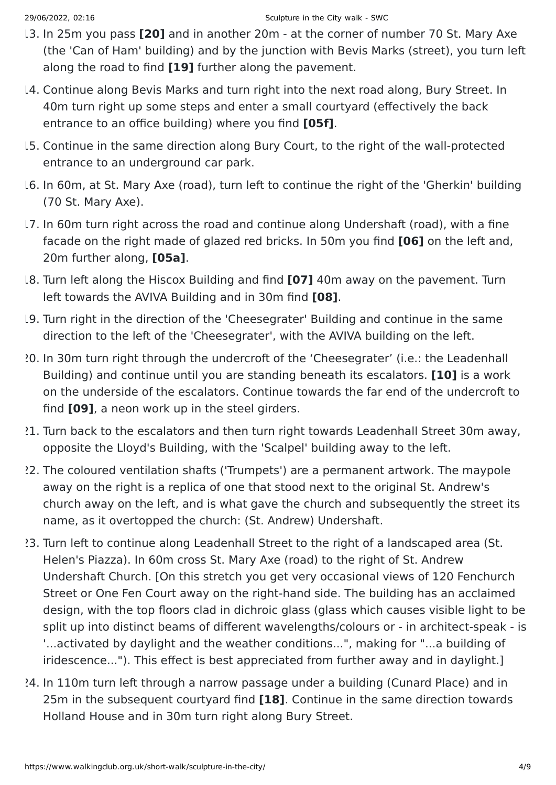- 13. In 25m you pass **[20]** and in another 20m at the corner of number 70 St. Mary Axe (the 'Can of Ham' building) and by the junction with Bevis Marks (street), you turn left along the road to find **[19]** further along the pavement.
- 14. Continue along Bevis Marks and turn right into the next road along, Bury Street. In 40m turn right up some steps and enter a small courtyard (effectively the back entrance to an office building) where you find **[05f]**.
- 15. Continue in the same direction along Bury Court, to the right of the wall-protected entrance to an underground car park.
- 16. In 60m, at St. Mary Axe (road), turn left to continue the right of the 'Gherkin' building (70 St. Mary Axe).
- 17. In 60m turn right across the road and continue along Undershaft (road), with a fine facade on the right made of glazed red bricks. In 50m you find **[06]** on the left and, 20m further along, **[05a]**.
- 18. Turn left along the Hiscox Building and find **[07]** 40m away on the pavement. Turn left towards the AVIVA Building and in 30m find **[08]**.
- 19. Turn right in the direction of the 'Cheesegrater' Building and continue in the same direction to the left of the 'Cheesegrater', with the AVIVA building on the left.
- 20. In 30m turn right through the undercroft of the 'Cheesegrater' (i.e.: the Leadenhall Building) and continue until you are standing beneath its escalators. **[10]** is a work on the underside of the escalators. Continue towards the far end of the undercroft to find **[09]**, a neon work up in the steel girders.
- 21. Turn back to the escalators and then turn right towards Leadenhall Street 30m away, opposite the Lloyd's Building, with the 'Scalpel' building away to the left.
- 22. The coloured ventilation shafts ('Trumpets') are a permanent artwork. The maypole away on the right is a replica of one that stood next to the original St. Andrew's church away on the left, and is what gave the church and subsequently the street its name, as it overtopped the church: (St. Andrew) Undershaft.
- 23. Turn left to continue along Leadenhall Street to the right of a landscaped area (St. Helen's Piazza). In 60m cross St. Mary Axe (road) to the right of St. Andrew Undershaft Church. [On this stretch you get very occasional views of 120 Fenchurch Street or One Fen Court away on the right-hand side. The building has an acclaimed design, with the top floors clad in dichroic glass (glass which causes visible light to be split up into distinct beams of different wavelengths/colours or - in architect-speak - is '...activated by daylight and the weather conditions...", making for "...a building of iridescence..."). This effect is best appreciated from further away and in daylight.]
- 24. In 110m turn left through a narrow passage under a building (Cunard Place) and in 25m in the subsequent courtyard find **[18]**. Continue in the same direction towards Holland House and in 30m turn right along Bury Street.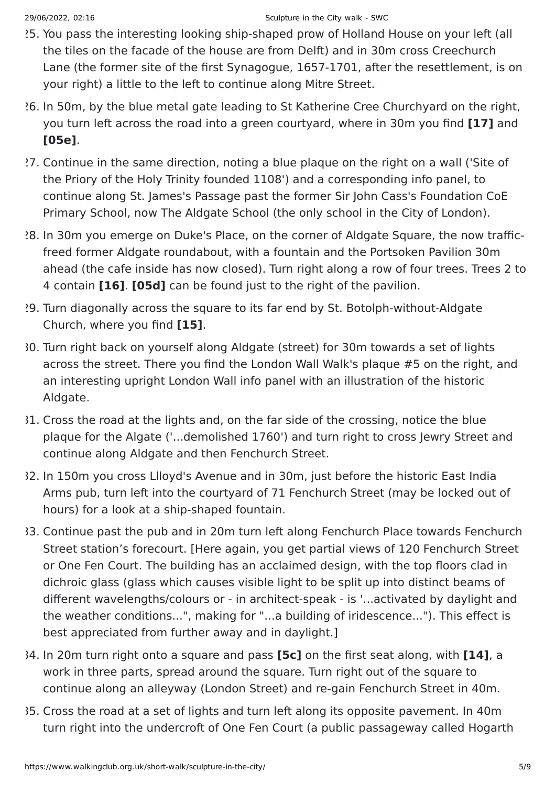- 25. You pass the interesting looking ship-shaped prow of Holland House on your left (all the tiles on the facade of the house are from Delft) and in 30m cross Creechurch Lane (the former site of the first Synagogue, 1657-1701, after the resettlement, is on your right) a little to the left to continue along Mitre Street.
- 26. In 50m, by the blue metal gate leading to St Katherine Cree Churchyard on the right, you turn left across the road into a green courtyard, where in 30m you find **[17]** and **[05e]**.
- 27. Continue in the same direction, noting a blue plaque on the right on a wall ('Site of the Priory of the Holy Trinity founded 1108') and a corresponding info panel, to continue along St. James's Passage past the former Sir John Cass's Foundation CoE Primary School, now The Aldgate School (the only school in the City of London).
- 28. In 30m you emerge on Duke's Place, on the corner of Aldgate Square, the now trafficfreed former Aldgate roundabout, with a fountain and the Portsoken Pavilion 30m ahead (the cafe inside has now closed). Turn right along a row of four trees. Trees 2 to 4 contain **[16]**. **[05d]** can be found just to the right of the pavilion.
- 29. Turn diagonally across the square to its far end by St. Botolph-without-Aldgate Church, where you find **[15]**.
- 30. Turn right back on yourself along Aldgate (street) for 30m towards a set of lights across the street. There you find the London Wall Walk's plaque #5 on the right, and an interesting upright London Wall info panel with an illustration of the historic Aldgate.
- 31. Cross the road at the lights and, on the far side of the crossing, notice the blue plaque for the Algate ('...demolished 1760') and turn right to cross Jewry Street and continue along Aldgate and then Fenchurch Street.
- 32. In 150m you cross Llloyd's Avenue and in 30m, just before the historic East India Arms pub, turn left into the courtyard of 71 Fenchurch Street (may be locked out of hours) for a look at a ship-shaped fountain.
- 33. Continue past the pub and in 20m turn left along Fenchurch Place towards Fenchurch Street station's forecourt. [Here again, you get partial views of 120 Fenchurch Street or One Fen Court. The building has an acclaimed design, with the top floors clad in dichroic glass (glass which causes visible light to be split up into distinct beams of different wavelengths/colours or - in architect-speak - is '...activated by daylight and the weather conditions...", making for "...a building of iridescence..."). This effect is best appreciated from further away and in daylight.]
- 34. In 20m turn right onto a square and pass **[5c]** on the first seat along, with **[14]**, a work in three parts, spread around the square. Turn right out of the square to continue along an alleyway (London Street) and re-gain Fenchurch Street in 40m.
- 35. Cross the road at a set of lights and turn left along its opposite pavement. In 40m turn right into the undercroft of One Fen Court (a public passageway called Hogarth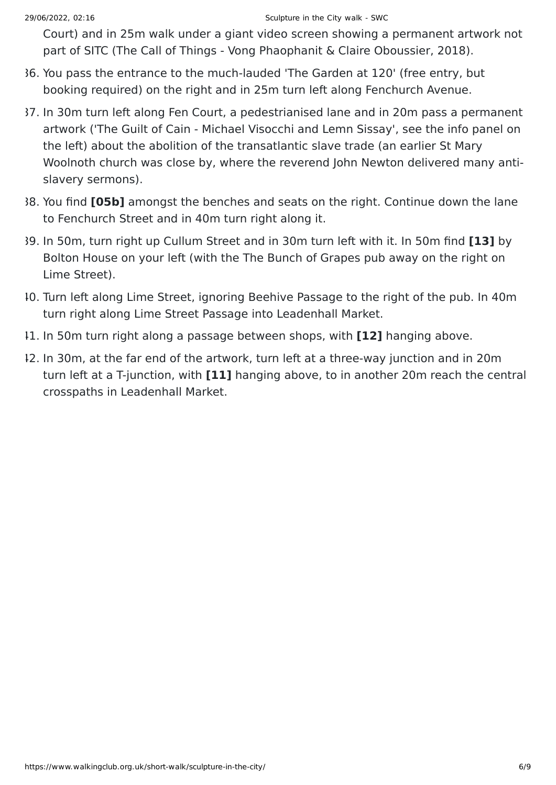Court) and in 25m walk under a giant video screen showing a permanent artwork not part of SITC (The Call of Things - Vong Phaophanit & Claire Oboussier, 2018).

- 36. You pass the entrance to the much-lauded 'The Garden at 120' (free entry, but booking required) on the right and in 25m turn left along Fenchurch Avenue.
- 37. In 30m turn left along Fen Court, a pedestrianised lane and in 20m pass a permanent artwork ('The Guilt of Cain - Michael Visocchi and Lemn Sissay', see the info panel on the left) about the abolition of the transatlantic slave trade (an earlier St Mary Woolnoth church was close by, where the reverend John Newton delivered many antislavery sermons).
- 38. You find **[05b]** amongst the benches and seats on the right. Continue down the lane to Fenchurch Street and in 40m turn right along it.
- 39. In 50m, turn right up Cullum Street and in 30m turn left with it. In 50m find **[13]** by Bolton House on your left (with the The Bunch of Grapes pub away on the right on Lime Street).
- 40. Turn left along Lime Street, ignoring Beehive Passage to the right of the pub. In 40m turn right along Lime Street Passage into Leadenhall Market.
- 41. In 50m turn right along a passage between shops, with **[12]** hanging above.
- 42. In 30m, at the far end of the artwork, turn left at a three-way junction and in 20m turn left at a T-junction, with **[11]** hanging above, to in another 20m reach the central crosspaths in Leadenhall Market.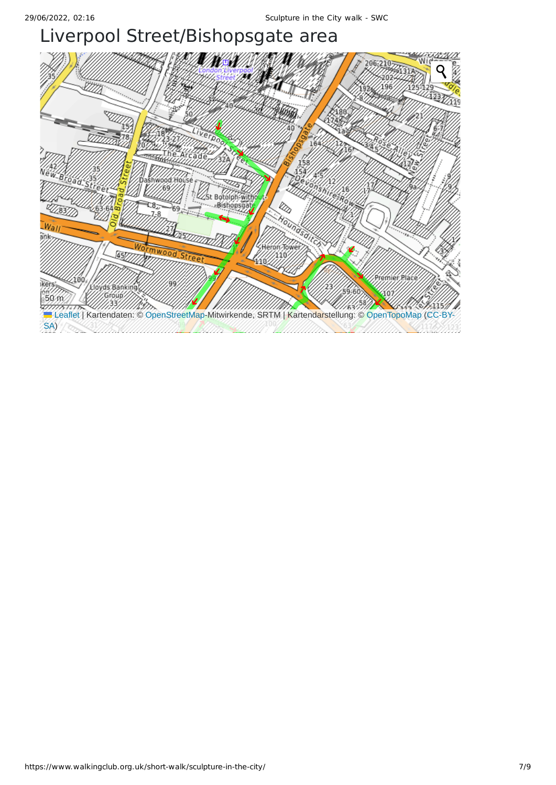## Liverpool Street/Bishopsgate area

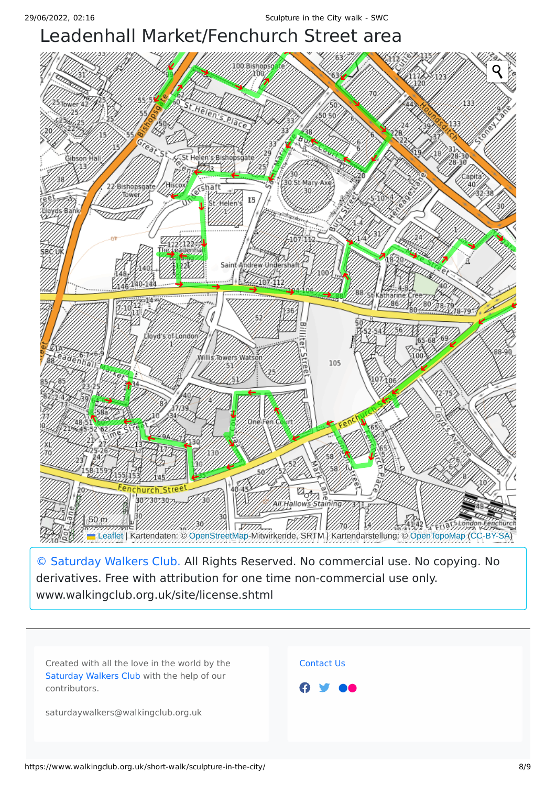## Leadenhall Market/Fenchurch Street area



[© Saturday Walkers Club.](https://www.walkingclub.org.uk/site/license.shtml) All Rights Reserved. No commercial use. No copying. No derivatives. Free with attribution for one time non-commercial use only. www.walkingclub.org.uk/site/license.shtml